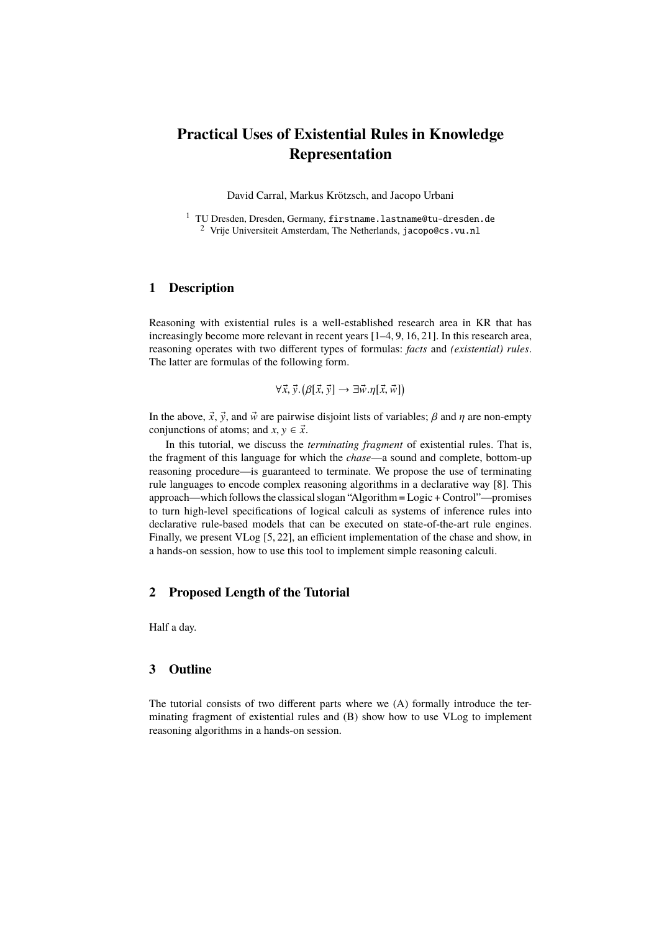# **Practical Uses of Existential Rules in Knowledge Representation**

David Carral, Markus Krötzsch, and Jacopo Urbani

<sup>1</sup> TU Dresden, Dresden, Germany, firstname.lastname@tu-dresden.de <sup>2</sup> Vrije Universiteit Amsterdam, The Netherlands, jacopo@cs.vu.nl

# **1 Description**

Reasoning with existential rules is a well-established research area in KR that has increasingly become more relevant in recent years [1–4, 9, 16, 21]. In this research area, reasoning operates with two different types of formulas: *facts* and *(existential) rules*. The latter are formulas of the following form.

$$
\forall \vec{x}, \vec{y}. (\beta[\vec{x}, \vec{y}] \rightarrow \exists \vec{w} . \eta[\vec{x}, \vec{w}])
$$

In the above,  $\vec{x}$ ,  $\vec{y}$ , and  $\vec{w}$  are pairwise disjoint lists of variables;  $\beta$  and  $\eta$  are non-empty conjunctions of atoms; and  $x, y \in \vec{x}$ .

In this tutorial, we discuss the *terminating fragment* of existential rules. That is, the fragment of this language for which the *chase*—a sound and complete, bottom-up reasoning procedure—is guaranteed to terminate. We propose the use of terminating rule languages to encode complex reasoning algorithms in a declarative way [8]. This approach—which follows the classical slogan "Algorithm = Logic + Control"—promises to turn high-level specifications of logical calculi as systems of inference rules into declarative rule-based models that can be executed on state-of-the-art rule engines. Finally, we present VLog [5, 22], an efficient implementation of the chase and show, in a hands-on session, how to use this tool to implement simple reasoning calculi.

# **2 Proposed Length of the Tutorial**

Half a day.

### **3 Outline**

The tutorial consists of two different parts where we (A) formally introduce the terminating fragment of existential rules and (B) show how to use VLog to implement reasoning algorithms in a hands-on session.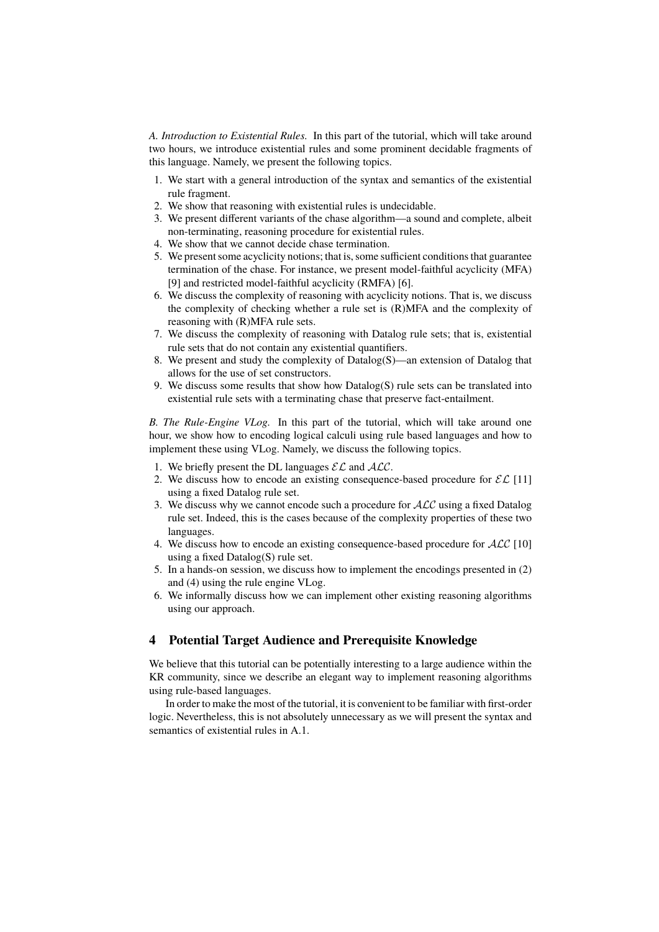*A. Introduction to Existential Rules.* In this part of the tutorial, which will take around two hours, we introduce existential rules and some prominent decidable fragments of this language. Namely, we present the following topics.

- 1. We start with a general introduction of the syntax and semantics of the existential rule fragment.
- 2. We show that reasoning with existential rules is undecidable.
- 3. We present different variants of the chase algorithm—a sound and complete, albeit non-terminating, reasoning procedure for existential rules.
- 4. We show that we cannot decide chase termination.
- 5. We present some acyclicity notions; that is, some sufficient conditions that guarantee termination of the chase. For instance, we present model-faithful acyclicity (MFA) [9] and restricted model-faithful acyclicity (RMFA) [6].
- 6. We discuss the complexity of reasoning with acyclicity notions. That is, we discuss the complexity of checking whether a rule set is (R)MFA and the complexity of reasoning with (R)MFA rule sets.
- 7. We discuss the complexity of reasoning with Datalog rule sets; that is, existential rule sets that do not contain any existential quantifiers.
- 8. We present and study the complexity of Datalog(S)—an extension of Datalog that allows for the use of set constructors.
- 9. We discuss some results that show how Datalog(S) rule sets can be translated into existential rule sets with a terminating chase that preserve fact-entailment.

*B. The Rule-Engine VLog.* In this part of the tutorial, which will take around one hour, we show how to encoding logical calculi using rule based languages and how to implement these using VLog. Namely, we discuss the following topics.

- 1. We briefly present the DL languages  $\mathcal{EL}$  and  $\mathcal{ALC}$ .
- 2. We discuss how to encode an existing consequence-based procedure for  $\mathcal{EL}$  [11] using a fixed Datalog rule set.
- 3. We discuss why we cannot encode such a procedure for  $ALC$  using a fixed Datalog rule set. Indeed, this is the cases because of the complexity properties of these two languages.
- 4. We discuss how to encode an existing consequence-based procedure for  $ALC$  [10] using a fixed Datalog(S) rule set.
- 5. In a hands-on session, we discuss how to implement the encodings presented in (2) and (4) using the rule engine VLog.
- 6. We informally discuss how we can implement other existing reasoning algorithms using our approach.

#### **4 Potential Target Audience and Prerequisite Knowledge**

We believe that this tutorial can be potentially interesting to a large audience within the KR community, since we describe an elegant way to implement reasoning algorithms using rule-based languages.

In order to make the most of the tutorial, it is convenient to be familiar with first-order logic. Nevertheless, this is not absolutely unnecessary as we will present the syntax and semantics of existential rules in A.1.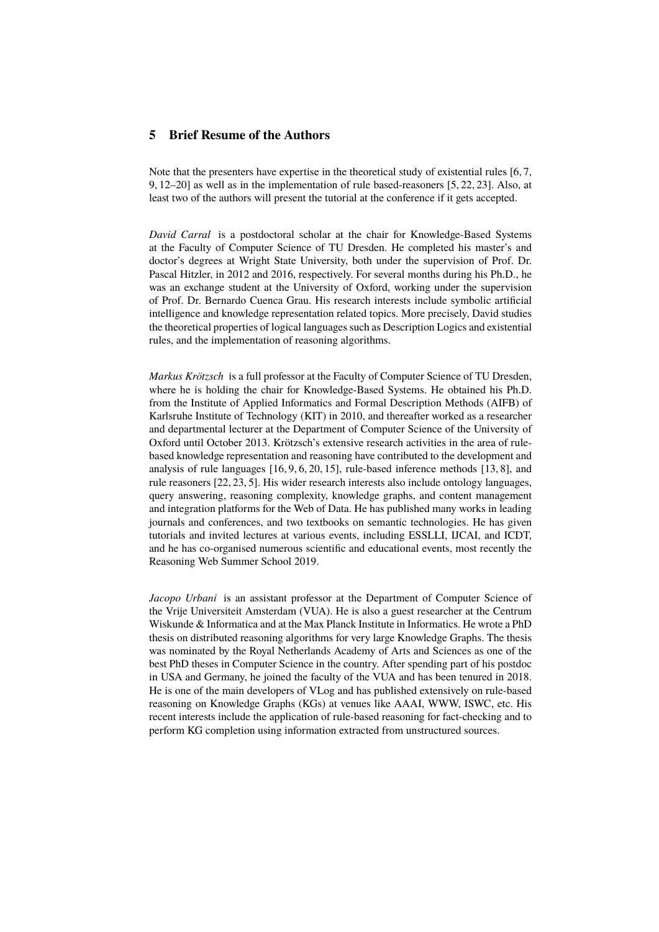### **5 Brief Resume of the Authors**

Note that the presenters have expertise in the theoretical study of existential rules [6, 7, 9, 12–20] as well as in the implementation of rule based-reasoners [5, 22, 23]. Also, at least two of the authors will present the tutorial at the conference if it gets accepted.

*David Carral* is a postdoctoral scholar at the chair for Knowledge-Based Systems at the Faculty of Computer Science of TU Dresden. He completed his master's and doctor's degrees at Wright State University, both under the supervision of Prof. Dr. Pascal Hitzler, in 2012 and 2016, respectively. For several months during his Ph.D., he was an exchange student at the University of Oxford, working under the supervision of Prof. Dr. Bernardo Cuenca Grau. His research interests include symbolic artificial intelligence and knowledge representation related topics. More precisely, David studies the theoretical properties of logical languages such as Description Logics and existential rules, and the implementation of reasoning algorithms.

*Markus Krötzsch* is a full professor at the Faculty of Computer Science of TU Dresden, where he is holding the chair for Knowledge-Based Systems. He obtained his Ph.D. from the Institute of Applied Informatics and Formal Description Methods (AIFB) of Karlsruhe Institute of Technology (KIT) in 2010, and thereafter worked as a researcher and departmental lecturer at the Department of Computer Science of the University of Oxford until October 2013. Krötzsch's extensive research activities in the area of rulebased knowledge representation and reasoning have contributed to the development and analysis of rule languages [16, 9, 6, 20, 15], rule-based inference methods [13, 8], and rule reasoners [22, 23, 5]. His wider research interests also include ontology languages, query answering, reasoning complexity, knowledge graphs, and content management and integration platforms for the Web of Data. He has published many works in leading journals and conferences, and two textbooks on semantic technologies. He has given tutorials and invited lectures at various events, including ESSLLI, IJCAI, and ICDT, and he has co-organised numerous scientific and educational events, most recently the Reasoning Web Summer School 2019.

*Jacopo Urbani* is an assistant professor at the Department of Computer Science of the Vrije Universiteit Amsterdam (VUA). He is also a guest researcher at the Centrum Wiskunde & Informatica and at the Max Planck Institute in Informatics. He wrote a PhD thesis on distributed reasoning algorithms for very large Knowledge Graphs. The thesis was nominated by the Royal Netherlands Academy of Arts and Sciences as one of the best PhD theses in Computer Science in the country. After spending part of his postdoc in USA and Germany, he joined the faculty of the VUA and has been tenured in 2018. He is one of the main developers of VLog and has published extensively on rule-based reasoning on Knowledge Graphs (KGs) at venues like AAAI, WWW, ISWC, etc. His recent interests include the application of rule-based reasoning for fact-checking and to perform KG completion using information extracted from unstructured sources.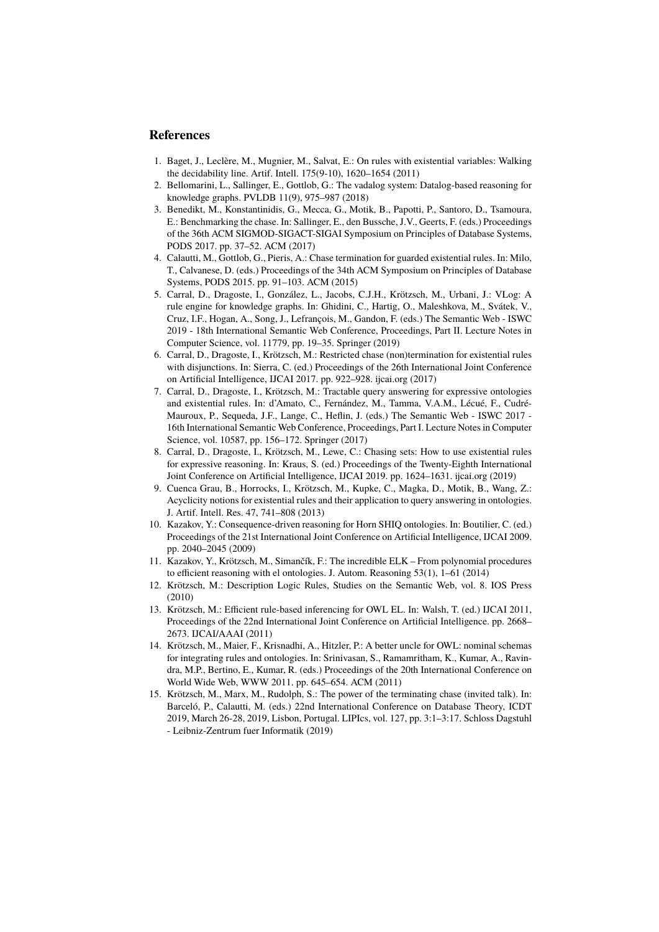#### **References**

- 1. Baget, J., Leclère, M., Mugnier, M., Salvat, E.: On rules with existential variables: Walking the decidability line. Artif. Intell. 175(9-10), 1620–1654 (2011)
- 2. Bellomarini, L., Sallinger, E., Gottlob, G.: The vadalog system: Datalog-based reasoning for knowledge graphs. PVLDB 11(9), 975–987 (2018)
- 3. Benedikt, M., Konstantinidis, G., Mecca, G., Motik, B., Papotti, P., Santoro, D., Tsamoura, E.: Benchmarking the chase. In: Sallinger, E., den Bussche, J.V., Geerts, F. (eds.) Proceedings of the 36th ACM SIGMOD-SIGACT-SIGAI Symposium on Principles of Database Systems, PODS 2017. pp. 37–52. ACM (2017)
- 4. Calautti, M., Gottlob, G., Pieris, A.: Chase termination for guarded existential rules. In: Milo, T., Calvanese, D. (eds.) Proceedings of the 34th ACM Symposium on Principles of Database Systems, PODS 2015. pp. 91–103. ACM (2015)
- 5. Carral, D., Dragoste, I., González, L., Jacobs, C.J.H., Krötzsch, M., Urbani, J.: VLog: A rule engine for knowledge graphs. In: Ghidini, C., Hartig, O., Maleshkova, M., Svátek, V., Cruz, I.F., Hogan, A., Song, J., Lefrançois, M., Gandon, F. (eds.) The Semantic Web - ISWC 2019 - 18th International Semantic Web Conference, Proceedings, Part II. Lecture Notes in Computer Science, vol. 11779, pp. 19–35. Springer (2019)
- 6. Carral, D., Dragoste, I., Krötzsch, M.: Restricted chase (non)termination for existential rules with disjunctions. In: Sierra, C. (ed.) Proceedings of the 26th International Joint Conference on Artificial Intelligence, IJCAI 2017. pp. 922–928. ijcai.org (2017)
- 7. Carral, D., Dragoste, I., Krötzsch, M.: Tractable query answering for expressive ontologies and existential rules. In: d'Amato, C., Fernández, M., Tamma, V.A.M., Lécué, F., Cudré-Mauroux, P., Sequeda, J.F., Lange, C., Heflin, J. (eds.) The Semantic Web - ISWC 2017 - 16th International Semantic Web Conference, Proceedings, Part I. Lecture Notes in Computer Science, vol. 10587, pp. 156–172. Springer (2017)
- 8. Carral, D., Dragoste, I., Krötzsch, M., Lewe, C.: Chasing sets: How to use existential rules for expressive reasoning. In: Kraus, S. (ed.) Proceedings of the Twenty-Eighth International Joint Conference on Artificial Intelligence, IJCAI 2019. pp. 1624–1631. ijcai.org (2019)
- 9. Cuenca Grau, B., Horrocks, I., Krötzsch, M., Kupke, C., Magka, D., Motik, B., Wang, Z.: Acyclicity notions for existential rules and their application to query answering in ontologies. J. Artif. Intell. Res. 47, 741–808 (2013)
- 10. Kazakov, Y.: Consequence-driven reasoning for Horn SHIQ ontologies. In: Boutilier, C. (ed.) Proceedings of the 21st International Joint Conference on Artificial Intelligence, IJCAI 2009. pp. 2040–2045 (2009)
- 11. Kazakov, Y., Krötzsch, M., Simančík, F.: The incredible ELK From polynomial procedures to efficient reasoning with el ontologies. J. Autom. Reasoning 53(1), 1–61 (2014)
- 12. Krötzsch, M.: Description Logic Rules, Studies on the Semantic Web, vol. 8. IOS Press (2010)
- 13. Krötzsch, M.: Efficient rule-based inferencing for OWL EL. In: Walsh, T. (ed.) IJCAI 2011, Proceedings of the 22nd International Joint Conference on Artificial Intelligence. pp. 2668– 2673. IJCAI/AAAI (2011)
- 14. Krötzsch, M., Maier, F., Krisnadhi, A., Hitzler, P.: A better uncle for OWL: nominal schemas for integrating rules and ontologies. In: Srinivasan, S., Ramamritham, K., Kumar, A., Ravindra, M.P., Bertino, E., Kumar, R. (eds.) Proceedings of the 20th International Conference on World Wide Web, WWW 2011. pp. 645–654. ACM (2011)
- 15. Krötzsch, M., Marx, M., Rudolph, S.: The power of the terminating chase (invited talk). In: Barceló, P., Calautti, M. (eds.) 22nd International Conference on Database Theory, ICDT 2019, March 26-28, 2019, Lisbon, Portugal. LIPIcs, vol. 127, pp. 3:1–3:17. Schloss Dagstuhl - Leibniz-Zentrum fuer Informatik (2019)